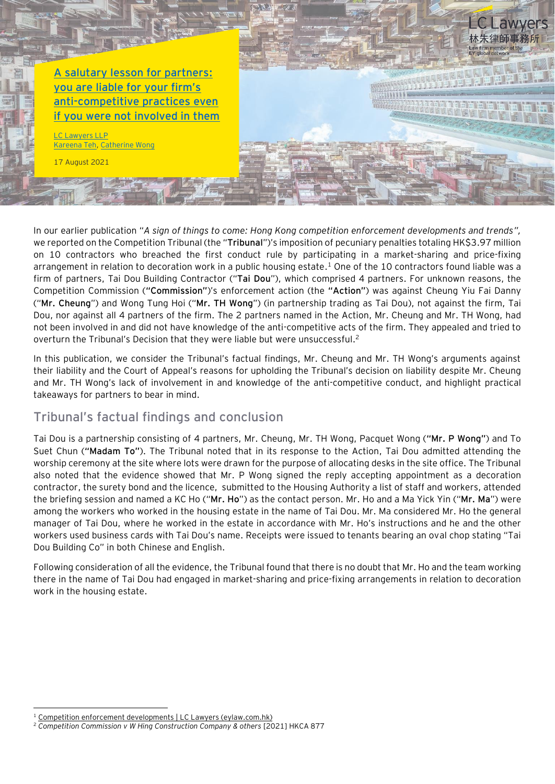**[A salutary lesson for partners:](https://www.eylaw.com.hk/en_hk/publications/our-latest-thinking/2021/sept/salutary-lessons-for-partners-on-anti-competitive-practices)  [you are liable for your firm's](https://www.eylaw.com.hk/en_hk/publications/our-latest-thinking/2021/sept/salutary-lessons-for-partners-on-anti-competitive-practices)  [anti-competitive practices even](https://www.eylaw.com.hk/en_hk/publications/our-latest-thinking/2021/sept/salutary-lessons-for-partners-on-anti-competitive-practices)  [if you were not involved in them](https://www.eylaw.com.hk/en_hk/publications/our-latest-thinking/2021/sept/salutary-lessons-for-partners-on-anti-competitive-practices)**

Lawyers LLP [Kareena Teh,](https://www.eylaw.com.hk/en_hk/people/kareena-teh) [Catherine Wong](https://www.eylaw.com.hk/en_hk/people/catherine-wong)

17 August 2021

In our earlier publication "*A sign of things to come: Hong Kong competition enforcement developments and trends",* we reported on the Competition Tribunal (the "**Tribunal**")'s imposition of pecuniary penalties totaling HK\$3.97 million on 10 contractors who breached the first conduct rule by participating in a market-sharing and price-fixing arrangement in relation to decoration work in a public housing estate. <sup>1</sup> One of the 10 contractors found liable was a firm of partners, Tai Dou Building Contractor ("**Tai Dou**"), which comprised 4 partners. For unknown reasons, the Competition Commission (**"Commission"**)'s enforcement action (the **"Action"**) was against Cheung Yiu Fai Danny ("**Mr. Cheung**") and Wong Tung Hoi ("**Mr. TH Wong**") (in partnership trading as Tai Dou), not against the firm, Tai Dou, nor against all 4 partners of the firm. The 2 partners named in the Action, Mr. Cheung and Mr. TH Wong, had not been involved in and did not have knowledge of the anti-competitive acts of the firm. They appealed and tried to overturn the Tribunal's Decision that they were liable but were unsuccessful.<sup>2</sup>

awvers

林朱律師事務

In this publication, we consider the Tribunal's factual findings, Mr. Cheung and Mr. TH Wong's arguments against their liability and the Court of Appeal's reasons for upholding the Tribunal's decision on liability despite Mr. Cheung and Mr. TH Wong's lack of involvement in and knowledge of the anti-competitive conduct, and highlight practical takeaways for partners to bear in mind.

## **Tribunal's factual findings and conclusion**

Tai Dou is a partnership consisting of 4 partners, Mr. Cheung, Mr. TH Wong, Pacquet Wong (**"Mr. P Wong"**) and To Suet Chun (**"Madam To"**). The Tribunal noted that in its response to the Action, Tai Dou admitted attending the worship ceremony at the site where lots were drawn for the purpose of allocating desks in the site office. The Tribunal also noted that the evidence showed that Mr. P Wong signed the reply accepting appointment as a decoration contractor, the surety bond and the licence, submitted to the Housing Authority a list of staff and workers, attended the briefing session and named a KC Ho ("**Mr. Ho**") as the contact person. Mr. Ho and a Ma Yick Yin ("**Mr. Ma**") were among the workers who worked in the housing estate in the name of Tai Dou. Mr. Ma considered Mr. Ho the general manager of Tai Dou, where he worked in the estate in accordance with Mr. Ho's instructions and he and the other workers used business cards with Tai Dou's name. Receipts were issued to tenants bearing an oval chop stating "Tai Dou Building Co" in both Chinese and English.

Following consideration of all the evidence, the Tribunal found that there is no doubt that Mr. Ho and the team working there in the name of Tai Dou had engaged in market-sharing and price-fixing arrangements in relation to decoration work in the housing estate.

[Competition enforcement developments | LC Lawyers \(eylaw.com.hk\)](https://www.eylaw.com.hk/en_hk/publications/our-latest-thinking/2021/jun/a-sign-of-things-to-come-hong-kong-competition-enforcement-developments)

<sup>2</sup> *Competition Commission v W Hing Construction Company & others* [2021] HKCA 877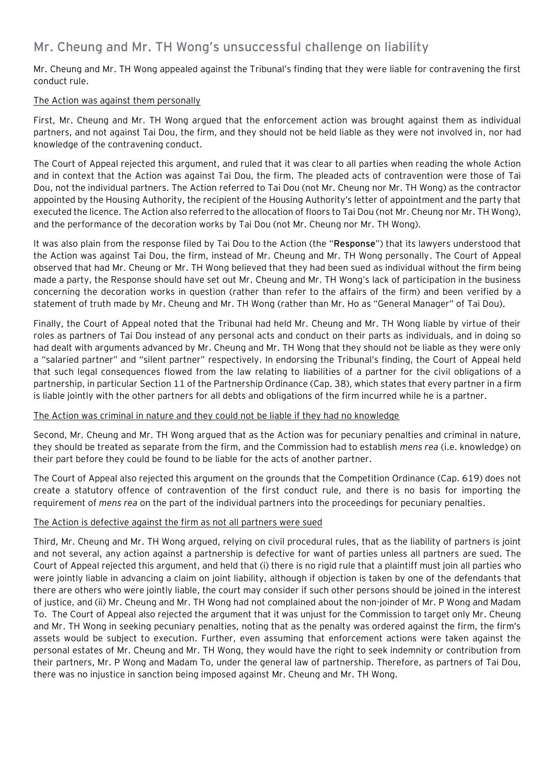## **Mr. Cheung and Mr. TH Wong's unsuccessful challenge on liability**

Mr. Cheung and Mr. TH Wong appealed against the Tribunal's finding that they were liable for contravening the first conduct rule.

#### The Action was against them personally

First, Mr. Cheung and Mr. TH Wong argued that the enforcement action was brought against them as individual partners, and not against Tai Dou, the firm, and they should not be held liable as they were not involved in, nor had knowledge of the contravening conduct.

The Court of Appeal rejected this argument, and ruled that it was clear to all parties when reading the whole Action and in context that the Action was against Tai Dou, the firm. The pleaded acts of contravention were those of Tai Dou, not the individual partners. The Action referred to Tai Dou (not Mr. Cheung nor Mr. TH Wong) as the contractor appointed by the Housing Authority, the recipient of the Housing Authority's letter of appointment and the party that executed the licence. The Action also referred to the allocation of floors to Tai Dou (not Mr. Cheung nor Mr. TH Wong), and the performance of the decoration works by Tai Dou (not Mr. Cheung nor Mr. TH Wong).

It was also plain from the response filed by Tai Dou to the Action (the "**Response**") that its lawyers understood that the Action was against Tai Dou, the firm, instead of Mr. Cheung and Mr. TH Wong personally. The Court of Appeal observed that had Mr. Cheung or Mr. TH Wong believed that they had been sued as individual without the firm being made a party, the Response should have set out Mr. Cheung and Mr. TH Wong's lack of participation in the business concerning the decoration works in question (rather than refer to the affairs of the firm) and been verified by a statement of truth made by Mr. Cheung and Mr. TH Wong (rather than Mr. Ho as "General Manager" of Tai Dou).

Finally, the Court of Appeal noted that the Tribunal had held Mr. Cheung and Mr. TH Wong liable by virtue of their roles as partners of Tai Dou instead of any personal acts and conduct on their parts as individuals, and in doing so had dealt with arguments advanced by Mr. Cheung and Mr. TH Wong that they should not be liable as they were only a "salaried partner" and "silent partner" respectively. In endorsing the Tribunal's finding, the Court of Appeal held that such legal consequences flowed from the law relating to liabilities of a partner for the civil obligations of a partnership, in particular Section 11 of the Partnership Ordinance (Cap. 38), which states that every partner in a firm is liable jointly with the other partners for all debts and obligations of the firm incurred while he is a partner.

#### The Action was criminal in nature and they could not be liable if they had no knowledge

Second, Mr. Cheung and Mr. TH Wong argued that as the Action was for pecuniary penalties and criminal in nature, they should be treated as separate from the firm, and the Commission had to establish *mens rea* (i.e. knowledge) on their part before they could be found to be liable for the acts of another partner.

The Court of Appeal also rejected this argument on the grounds that the Competition Ordinance (Cap. 619) does not create a statutory offence of contravention of the first conduct rule, and there is no basis for importing the requirement of *mens rea* on the part of the individual partners into the proceedings for pecuniary penalties.

#### The Action is defective against the firm as not all partners were sued

Third, Mr. Cheung and Mr. TH Wong argued, relying on civil procedural rules, that as the liability of partners is joint and not several, any action against a partnership is defective for want of parties unless all partners are sued. The Court of Appeal rejected this argument, and held that (i) there is no rigid rule that a plaintiff must join all parties who were jointly liable in advancing a claim on joint liability, although if objection is taken by one of the defendants that there are others who were jointly liable, the court may consider if such other persons should be joined in the interest of justice, and (ii) Mr. Cheung and Mr. TH Wong had not complained about the non-joinder of Mr. P Wong and Madam To. The Court of Appeal also rejected the argument that it was unjust for the Commission to target only Mr. Cheung and Mr. TH Wong in seeking pecuniary penalties, noting that as the penalty was ordered against the firm, the firm's assets would be subject to execution. Further, even assuming that enforcement actions were taken against the personal estates of Mr. Cheung and Mr. TH Wong, they would have the right to seek indemnity or contribution from their partners, Mr. P Wong and Madam To, under the general law of partnership. Therefore, as partners of Tai Dou, there was no injustice in sanction being imposed against Mr. Cheung and Mr. TH Wong.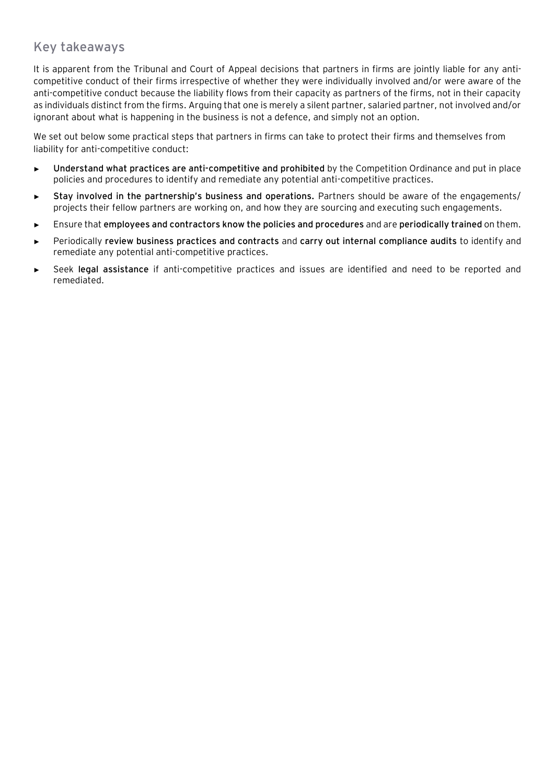## **Key takeaways**

It is apparent from the Tribunal and Court of Appeal decisions that partners in firms are jointly liable for any anticompetitive conduct of their firms irrespective of whether they were individually involved and/or were aware of the anti-competitive conduct because the liability flows from their capacity as partners of the firms, not in their capacity as individuals distinct from the firms. Arguing that one is merely a silent partner, salaried partner, not involved and/or ignorant about what is happening in the business is not a defence, and simply not an option.

We set out below some practical steps that partners in firms can take to protect their firms and themselves from liability for anti-competitive conduct:

- ► **Understand what practices are anti-competitive and prohibited** by the Competition Ordinance and put in place policies and procedures to identify and remediate any potential anti-competitive practices.
- ► **Stay involved in the partnership's business and operations.** Partners should be aware of the engagements/ projects their fellow partners are working on, and how they are sourcing and executing such engagements.
- ► Ensure that **employees and contractors know the policies and procedures** and are **periodically trained** on them.
- ► Periodically **review business practices and contracts** and **carry out internal compliance audits** to identify and remediate any potential anti-competitive practices.
- ► Seek **legal assistance** if anti-competitive practices and issues are identified and need to be reported and remediated.